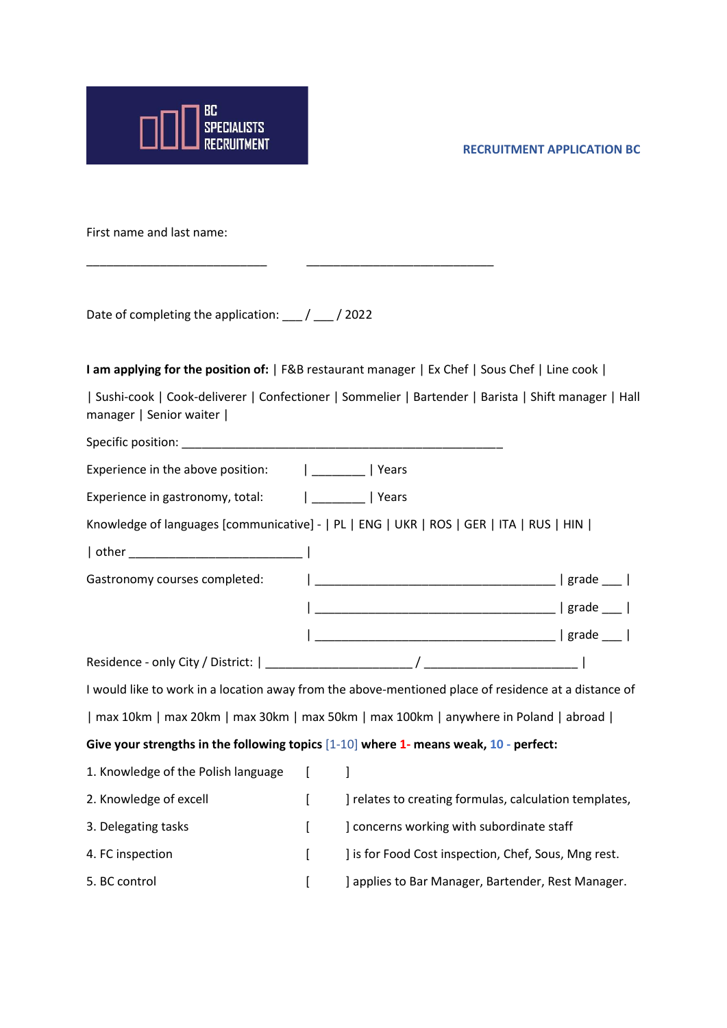

**RECRUITMENT APPLICATION BC**

First name and last name:

Date of completing the application: \_\_\_ / \_\_\_ / 2022

**I am applying for the position of:** | F&B restaurant manager | Ex Chef | Sous Chef | Line cook |

| Sushi-cook | Cook-deliverer | Confectioner | Sommelier | Bartender | Barista | Shift manager | Hall manager | Senior waiter |

Specific position: \_\_\_\_\_\_\_\_\_\_\_\_\_\_\_\_\_\_\_\_\_\_\_\_\_\_\_\_\_\_\_\_\_\_\_\_\_\_\_\_\_\_\_\_\_\_\_\_ Experience in the above position:  $|$  \_\_\_\_\_\_\_ | Years

\_\_\_\_\_\_\_\_\_\_\_\_\_\_\_\_\_\_\_\_\_\_\_\_\_\_\_ \_\_\_\_\_\_\_\_\_\_\_\_\_\_\_\_\_\_\_\_\_\_\_\_\_\_\_\_

Experience in gastronomy, total:  $|$  \_\_\_\_\_\_\_ | Years

Knowledge of languages [communicative] - | PL | ENG | UKR | ROS | GER | ITA | RUS | HIN |

| other \_\_\_\_\_\_\_\_\_\_\_\_\_\_\_\_\_\_\_\_\_\_\_\_\_\_ | Gastronomy courses completed: | \_\_\_\_\_\_\_\_\_\_\_\_\_\_\_\_\_\_\_\_\_\_\_\_\_\_\_\_\_\_\_\_\_\_\_\_ | grade \_\_\_ | | \_\_\_\_\_\_\_\_\_\_\_\_\_\_\_\_\_\_\_\_\_\_\_\_\_\_\_\_\_\_\_\_\_\_\_\_ | grade \_\_\_ | | \_\_\_\_\_\_\_\_\_\_\_\_\_\_\_\_\_\_\_\_\_\_\_\_\_\_\_\_\_\_\_\_\_\_\_\_ | grade \_\_\_ |

Residence - only City / District: | \_\_\_\_\_\_\_\_\_\_\_\_\_\_\_\_\_\_\_\_\_\_ / \_\_\_\_\_\_\_\_\_\_\_\_\_\_\_\_\_\_\_\_\_\_\_ |

I would like to work in a location away from the above-mentioned place of residence at a distance of | max 10km | max 20km | max 30km | max 50km | max 100km | anywhere in Poland | abroad |

**Give your strengths in the following topics** [1-10] **where 1- means weak, 10 - perfect:**

| 1. Knowledge of the Polish language |                                                        |
|-------------------------------------|--------------------------------------------------------|
| 2. Knowledge of excell              | ] relates to creating formulas, calculation templates, |
| 3. Delegating tasks                 | concerns working with subordinate staff                |
| 4. FC inspection                    | ] is for Food Cost inspection, Chef, Sous, Mng rest.   |
| 5. BC control                       | ] applies to Bar Manager, Bartender, Rest Manager.     |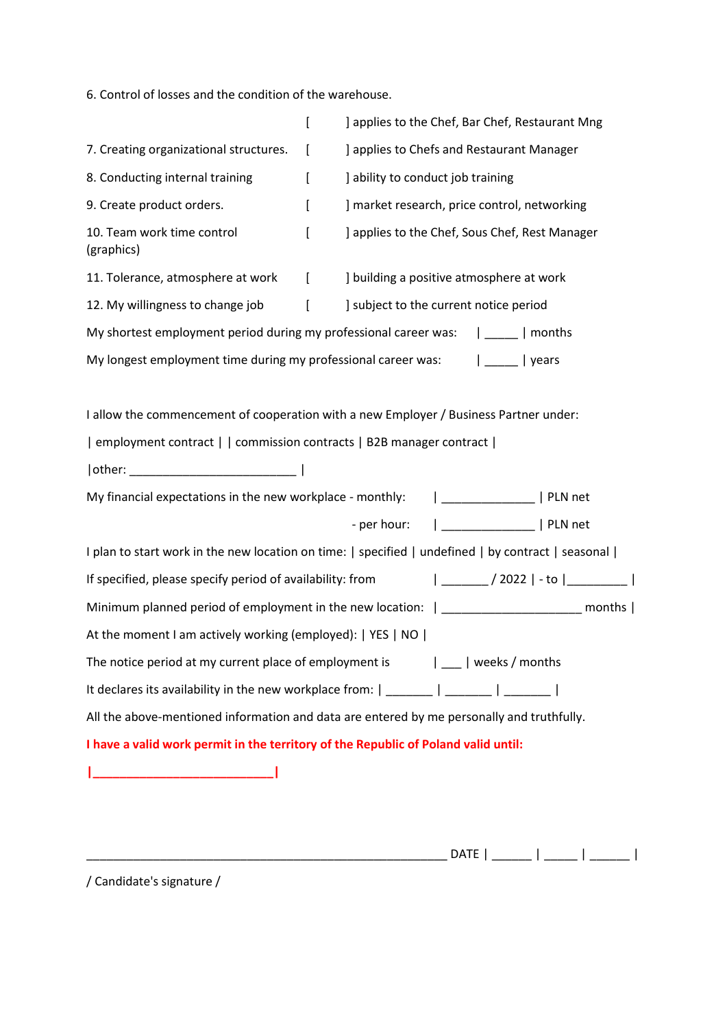6. Control of losses and the condition of the warehouse.

|                                                                                                           | ſ        | ] applies to the Chef, Bar Chef, Restaurant Mng                                                    |  |
|-----------------------------------------------------------------------------------------------------------|----------|----------------------------------------------------------------------------------------------------|--|
| 7. Creating organizational structures.                                                                    | t        | ] applies to Chefs and Restaurant Manager                                                          |  |
| 8. Conducting internal training                                                                           | ſ        | ] ability to conduct job training                                                                  |  |
| 9. Create product orders.                                                                                 | L        | ] market research, price control, networking                                                       |  |
| 10. Team work time control<br>(graphics)                                                                  | ſ        | ] applies to the Chef, Sous Chef, Rest Manager                                                     |  |
| 11. Tolerance, atmosphere at work                                                                         | $\Gamma$ | ] building a positive atmosphere at work                                                           |  |
| 12. My willingness to change job                                                                          | ſ        | ] subject to the current notice period                                                             |  |
|                                                                                                           |          | My shortest employment period during my professional career was:   _____   months                  |  |
|                                                                                                           |          | My longest employment time during my professional career was:   ____   years                       |  |
|                                                                                                           |          |                                                                                                    |  |
|                                                                                                           |          | I allow the commencement of cooperation with a new Employer / Business Partner under:              |  |
| employment contract     commission contracts   B2B manager contract                                       |          |                                                                                                    |  |
|                                                                                                           |          |                                                                                                    |  |
| My financial expectations in the new workplace - monthly:                                                 |          | _______________   PLN net                                                                          |  |
|                                                                                                           |          | ___________________   PLN net<br>- per hour:                                                       |  |
|                                                                                                           |          | I plan to start work in the new location on time:   specified   undefined   by contract   seasonal |  |
| $ $ _________ / 2022   - to $ $ __________  <br>If specified, please specify period of availability: from |          |                                                                                                    |  |
| Minimum planned period of employment in the new location:   ____________________ months                   |          |                                                                                                    |  |
| At the moment I am actively working (employed):   YES   NO                                                |          |                                                                                                    |  |
|                                                                                                           |          | The notice period at my current place of employment is $ $ __   weeks / months                     |  |
|                                                                                                           |          | It declares its availability in the new workplace from: $\vert$ _______   ______   _______         |  |
|                                                                                                           |          | All the above-mentioned information and data are entered by me personally and truthfully.          |  |
| I have a valid work permit in the territory of the Republic of Poland valid until:                        |          |                                                                                                    |  |
|                                                                                                           |          |                                                                                                    |  |
|                                                                                                           |          |                                                                                                    |  |
|                                                                                                           |          |                                                                                                    |  |

\_\_\_\_\_\_\_\_\_\_\_\_\_\_\_\_\_\_\_\_\_\_\_\_\_\_\_\_\_\_\_\_\_\_\_\_\_\_\_\_\_\_\_\_\_\_\_\_\_\_\_\_\_\_ DATE | \_\_\_\_\_\_ | \_\_\_\_\_ | \_\_\_\_\_\_ |

/ Candidate's signature /